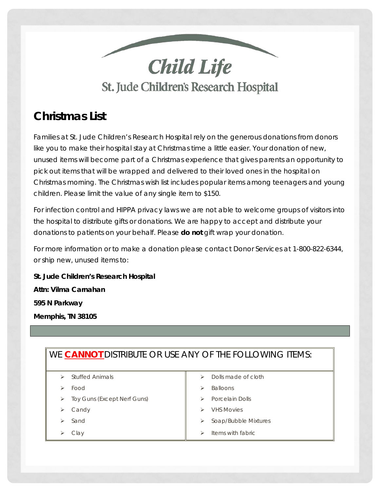

# *Christmas List*

 like you to make their hospital stay at Christmas time a little easier. Your donation of new, Christmas morning. The Christmas wish list includes popular items among teenagers and young Families at St. Jude Children's Research Hospital rely on the generous donations from donors unused items will become part of a Christmas experience that gives parents an opportunity to pick out items that will be wrapped and delivered to their loved ones in the hospital on children. Please limit the value of any single item to \$150.

For infection control and HIPPA privacy laws we are not able to welcome groups of visitors into the hospital to distribute gifts or donations. We are happy to accept and distribute your donations to patients on your behalf. Please **do not** gift wrap your donation.

 For more information or to make a donation please contact Donor Services at 1-800-822-6344, or ship new, unused items to:

 *St. Jude Children's Research Hospital Attn: Vilma Carnahan 595 N Parkway Memphis, TN 38105* 

## WE **CANNOT** DISTRIBUTE OR USE ANY OF THE FOLLOWING ITEMS:

- $\triangleright$  Stuffed Animals  $\parallel$   $\triangleright$  Dolls made of cloth
- 
- > Toy Guns (Except Nerf Guns)  $\parallel$  > Porcelain Dolls
- 
- 
- 
- 
- $\triangleright$  Food  $\triangleright$  Balloons
	-
	- Candy **Candy VHS Movies**
	- Sand **Sand Sand Soap/Bubble Mixtures Soap**/Bubble Mixtures
	- Clay  $\parallel \qquad \rangle$  Items with fabric